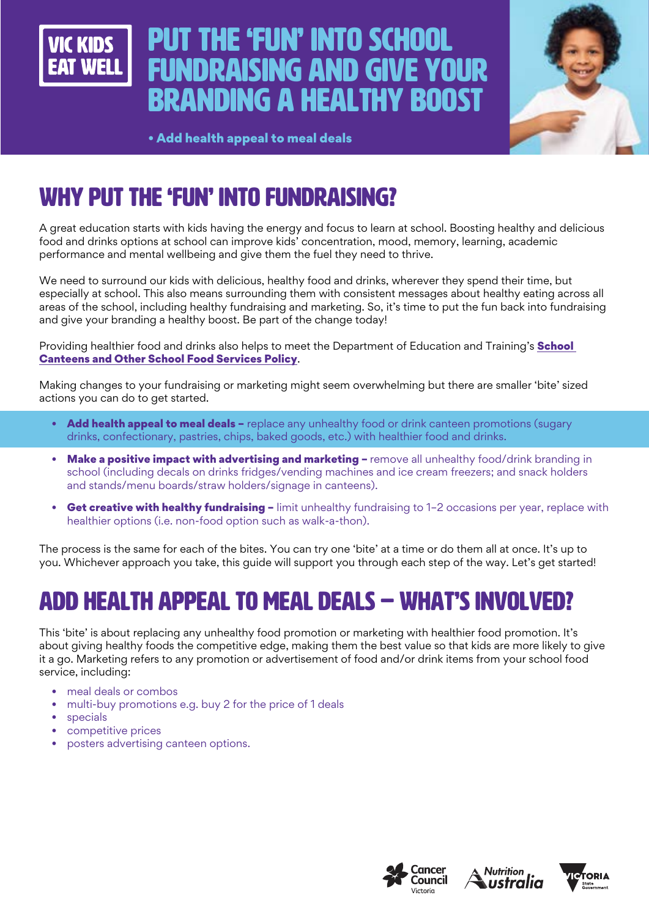

# Put the 'fun' into school **INDRAISING AND GIVE YO** branding a healthy boost



• Add health appeal to meal deals

# WHY PUT THE 'FUN' INTO FUNDRAISING?

A great education starts with kids having the energy and focus to learn at school. Boosting healthy and delicious food and drinks options at school can improve kids' concentration, mood, memory, learning, academic performance and mental wellbeing and give them the fuel they need to thrive.

We need to surround our kids with delicious, healthy food and drinks, wherever they spend their time, but especially at school. This also means surrounding them with consistent messages about healthy eating across all areas of the school, including healthy fundraising and marketing. So, it's time to put the fun back into fundraising and give your branding a healthy boost. Be part of the change today!

Providing healthier food and drinks also helps to meet the Department of Education and Training's **School** [Canteens and Other School Food Services Policy](https://www2.education.vic.gov.au/pal/canteens-and-healthy-eating/policy).

Making changes to your fundraising or marketing might seem overwhelming but there are smaller 'bite' sized actions you can do to get started.

- Add health appeal to meal deals replace any unhealthy food or drink canteen promotions (sugary drinks, confectionary, pastries, chips, baked goods, etc.) with healthier food and drinks.
- Make a positive impact with advertising and marketing remove all unhealthy food/drink branding in school (including decals on drinks fridges/vending machines and ice cream freezers; and snack holders and stands/menu boards/straw holders/signage in canteens).
- Get creative with healthy fundraising limit unhealthy fundraising to 1-2 occasions per year, replace with healthier options (i.e. non-food option such as walk-a-thon).

The process is the same for each of the bites. You can try one 'bite' at a time or do them all at once. It's up to you. Whichever approach you take, this guide will support you through each step of the way. Let's get started!

# ADD HEALTH APPEAL TO MEAL DEALS – WHAT'S INVOLVED?

This 'bite' is about replacing any unhealthy food promotion or marketing with healthier food promotion. It's about giving healthy foods the competitive edge, making them the best value so that kids are more likely to give it a go. Marketing refers to any promotion or advertisement of food and/or drink items from your school food service, including:

- meal deals or combos
- multi-buy promotions e.g. buy 2 for the price of 1 deals
- **specials**
- competitive prices
- posters advertising canteen options.





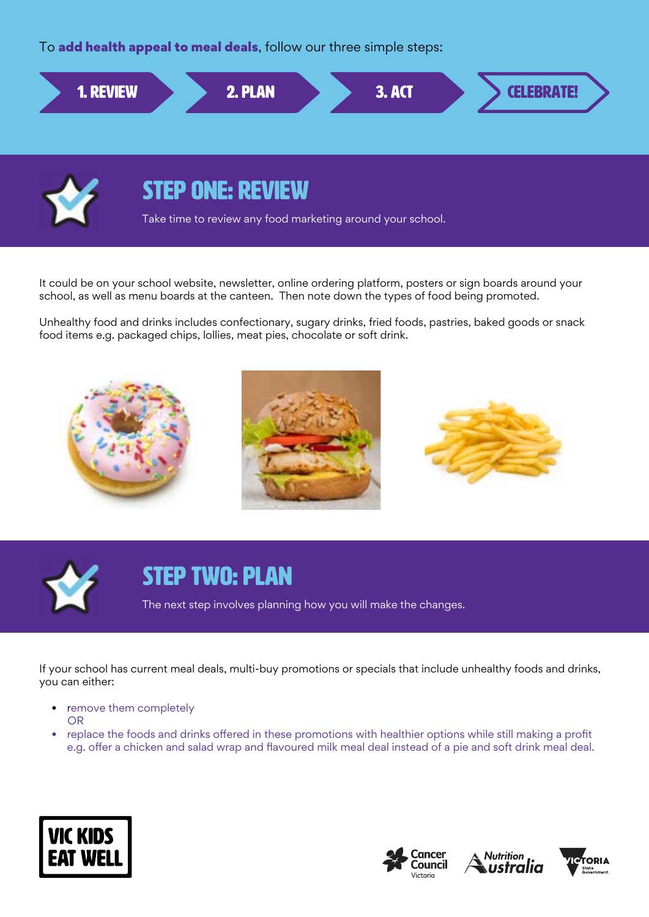To add health appeal to meal deals, follow our three simple steps:





### STEP ONE: REVIEW

Take time to review any food marketing around your school.

It could be on your school website, newsletter, online ordering platform, posters or sign boards around your school, as well as menu boards at the canteen. Then note down the types of food being promoted.

Unhealthy food and drinks includes confectionary, sugary drinks, fried foods, pastries, baked goods or snack food items e.g. packaged chips, lollies, meat pies, chocolate or soft drink.





#### STEP TWO: PLAN

The next step involves planning how you will make the changes.

If your school has current meal deals, multi-buy promotions or specials that include unhealthy foods and drinks, you can either:

- remove them completely OR
- replace the foods and drinks offered in these promotions with healthier options while still making a profit e.g. offer a chicken and salad wrap and flavoured milk meal deal instead of a pie and soft drink meal deal.







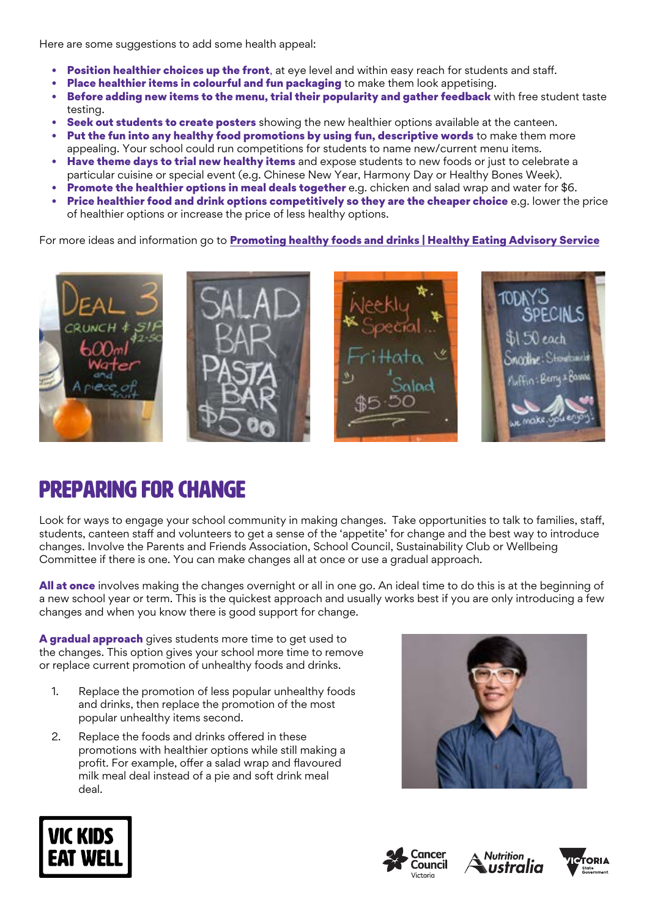Here are some suggestions to add some health appeal:

- **Position healthier choices up the front**, at eye level and within easy reach for students and staff.
- Place healthier items in colourful and fun packaging to make them look appetising.
- Before adding new items to the menu, trial their popularity and gather feedback with free student taste testing.
- Seek out students to create posters showing the new healthier options available at the canteen.
- Put the fun into any healthy food promotions by using fun, descriptive words to make them more appealing. Your school could run competitions for students to name new/current menu items.
- **Have theme days to trial new healthy items** and expose students to new foods or just to celebrate a particular cuisine or special event (e.g. Chinese New Year, Harmony Day or Healthy Bones Week).
- **Promote the healthier options in meal deals together** e.g. chicken and salad wrap and water for \$6.
- Price healthier food and drink options competitively so they are the cheaper choice e.g. lower the price of healthier options or increase the price of less healthy options.

For more ideas and information go to **[Promoting healthy foods and drinks | Healthy Eating Advisory Service](http://heas.health.vic.gov.au/schools/promoting-healthy-foods-and-drinks)** 



## Preparing for change

Look for ways to engage your school community in making changes. Take opportunities to talk to families, staff, students, canteen staff and volunteers to get a sense of the 'appetite' for change and the best way to introduce changes. Involve the Parents and Friends Association, School Council, Sustainability Club or Wellbeing Committee if there is one. You can make changes all at once or use a gradual approach.

All at once involves making the changes overnight or all in one go. An ideal time to do this is at the beginning of a new school year or term. This is the quickest approach and usually works best if you are only introducing a few changes and when you know there is good support for change.

A gradual approach gives students more time to get used to the changes. This option gives your school more time to remove or replace current promotion of unhealthy foods and drinks.

- 1. Replace the promotion of less popular unhealthy foods and drinks, then replace the promotion of the most popular unhealthy items second.
- 2. Replace the foods and drinks offered in these promotions with healthier options while still making a profit. For example, offer a salad wrap and flavoured milk meal deal instead of a pie and soft drink meal deal.









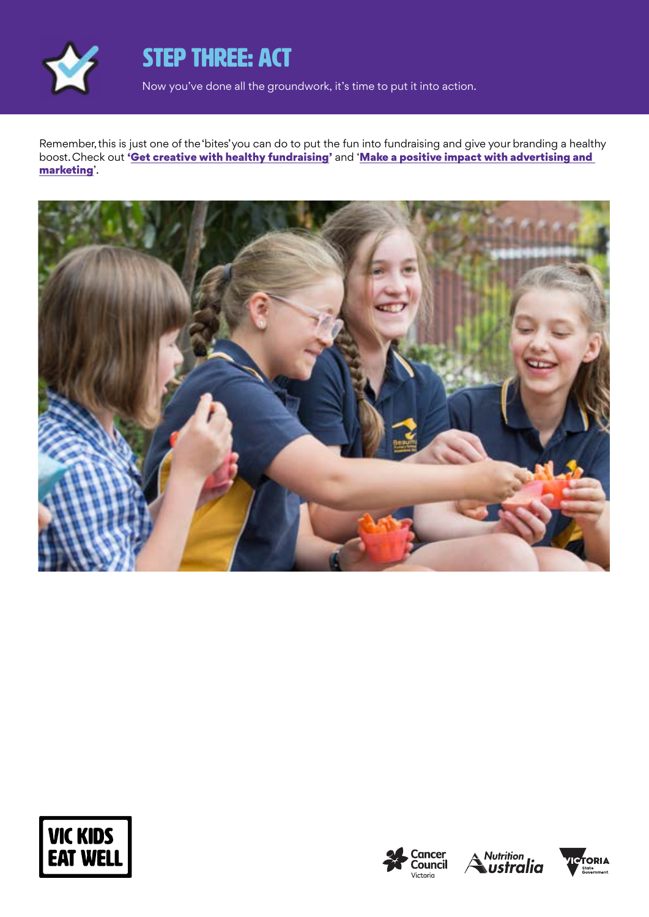

## STEP THREE: ACT

Now you've done all the groundwork, it's time to put it into action.

Remember, this is just one of the 'bites' you can do to put the fun into fundraising and give your branding a healthy boost. Check out ['Get creative with healthy fundraising'](https://www.vickidseatwell.health.vic.gov.au/resources) and 'Make a positive impact with advertising and [marketing](https://www.vickidseatwell.health.vic.gov.au/resources)'.